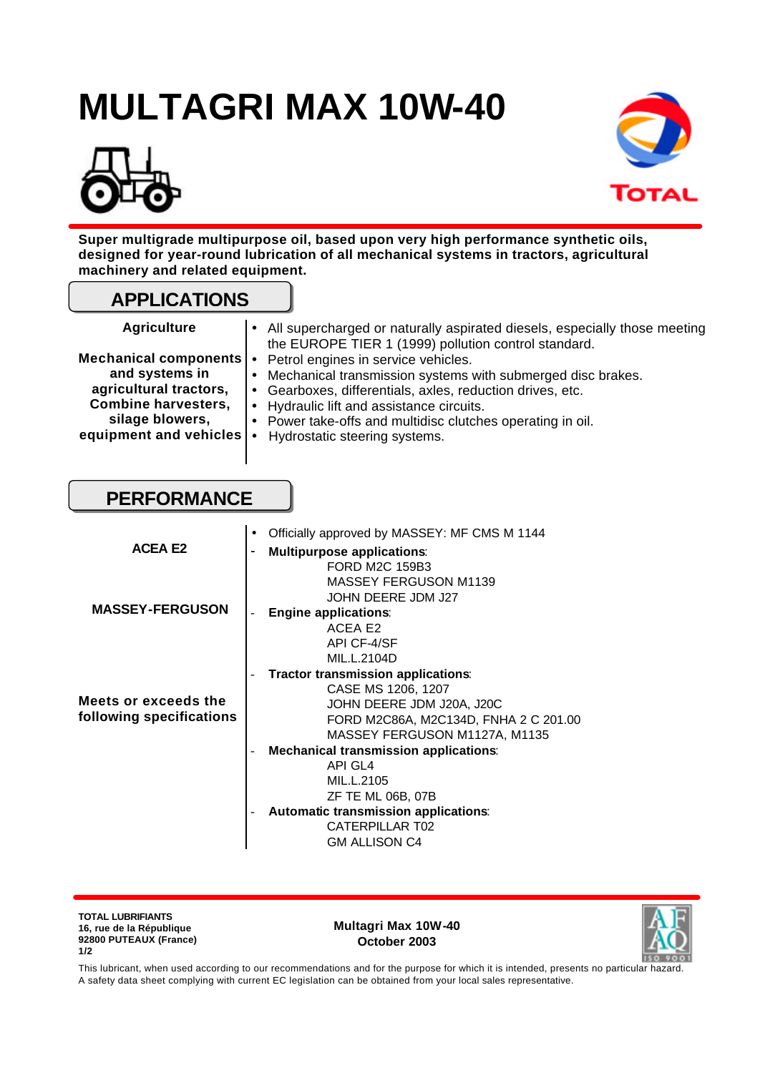# **MULTAGRI MAX 10W-40**





**Super multigrade multipurpose oil, based upon very high performance synthetic oils, designed for year-round lubrication of all mechanical systems in tractors, agricultural machinery and related equipment.** 

### **APPLICATIONS**

| <b>Agriculture</b> |  |  |  |  |  |
|--------------------|--|--|--|--|--|
|--------------------|--|--|--|--|--|

| <b>Agriculture</b>                                                                                                                                                          |           | • All supercharged or naturally aspirated diesels, especially those meeting<br>the EUROPE TIER 1 (1999) pollution control standard.                                                                                                                                                                       |
|-----------------------------------------------------------------------------------------------------------------------------------------------------------------------------|-----------|-----------------------------------------------------------------------------------------------------------------------------------------------------------------------------------------------------------------------------------------------------------------------------------------------------------|
| Mechanical components $\cdot$<br>and systems in<br>agricultural tractors,<br><b>Combine harvesters,</b><br>silage blowers,<br>equipment and vehicles $\left  \cdot \right $ | $\bullet$ | Petrol engines in service vehicles.<br>Mechanical transmission systems with submerged disc brakes.<br>Gearboxes, differentials, axles, reduction drives, etc.<br>• Hydraulic lift and assistance circuits.<br>• Power take-offs and multidisc clutches operating in oil.<br>Hydrostatic steering systems. |
|                                                                                                                                                                             |           |                                                                                                                                                                                                                                                                                                           |

## **PERFORMANCE**

| <b>ACEA E2</b>                                   | Officially approved by MASSEY: MF CMS M 1144<br>$\bullet$<br><b>Multipurpose applications:</b><br>$\overline{\phantom{0}}$<br>FORD M2C 159B3                                                                                                                                               |
|--------------------------------------------------|--------------------------------------------------------------------------------------------------------------------------------------------------------------------------------------------------------------------------------------------------------------------------------------------|
| <b>MASSEY-FERGUSON</b>                           | MASSEY FERGUSON M1139<br>JOHN DEERE JDM J27<br><b>Engine applications:</b><br>ACEA E2<br>API CF-4/SF                                                                                                                                                                                       |
| Meets or exceeds the<br>following specifications | MIL.L.2104D<br>Tractor transmission applications:<br>$\overline{\phantom{0}}$<br>CASE MS 1206, 1207<br>JOHN DEERE JDM J20A, J20C<br>FORD M2C86A, M2C134D, FNHA 2 C 201.00<br>MASSEY FERGUSON M1127A, M1135<br><b>Mechanical transmission applications:</b><br><b>API GL4</b><br>MIL.L.2105 |
|                                                  | ZF TE ML 06B, 07B<br>Automatic transmission applications:<br>CATERPILLAR T02<br><b>GM ALLISON C4</b>                                                                                                                                                                                       |

**TOTAL LUBRIFIANTS 16, rue de la République 92800 PUTEAUX (France) 1/2**

**Multagri Max 10W-40 October 2003**



This lubricant, when used according to our recommendations and for the purpose for which it is intended, presents no particular hazard. A safety data sheet complying with current EC legislation can be obtained from your local sales representative.